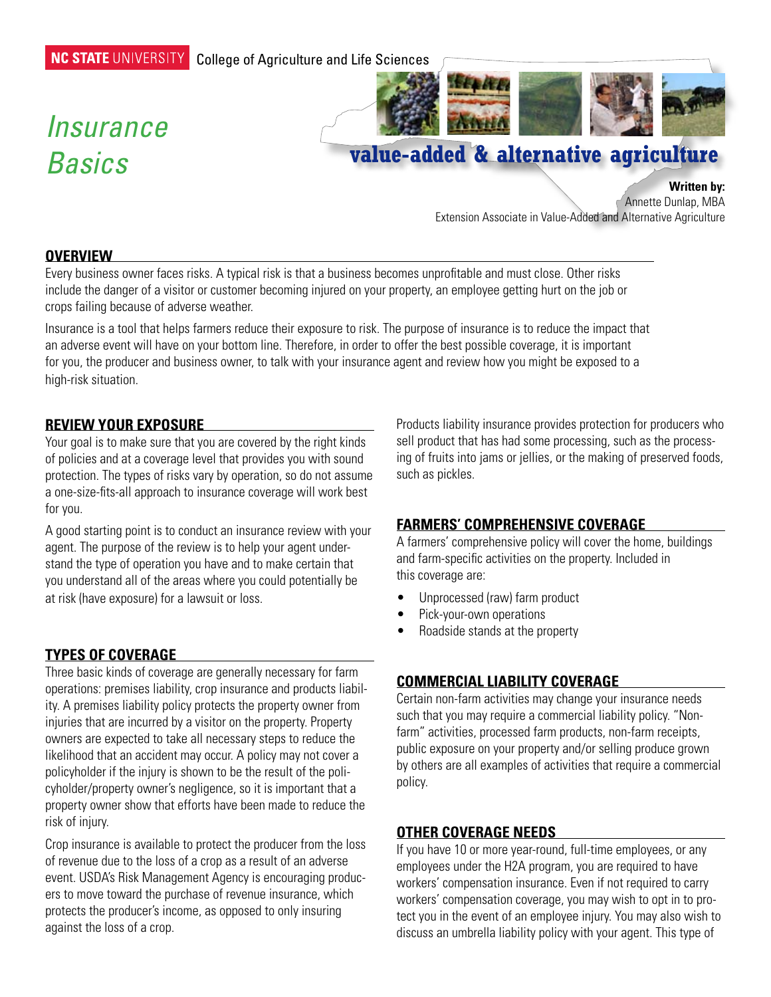#### NC STATE UNIVERSITY College of Agriculture and Life Sciences

# *Insurance Basics*



# **value-added & alternative agriculture**

**Written by:**

Annette Dunlap, MBA Extension Associate in Value-Added and Alternative Agriculture

#### **Overview**

Every business owner faces risks. A typical risk is that a business becomes unprofitable and must close. Other risks include the danger of a visitor or customer becoming injured on your property, an employee getting hurt on the job or crops failing because of adverse weather.

Insurance is a tool that helps farmers reduce their exposure to risk. The purpose of insurance is to reduce the impact that an adverse event will have on your bottom line. Therefore, in order to offer the best possible coverage, it is important for you, the producer and business owner, to talk with your insurance agent and review how you might be exposed to a high-risk situation.

#### **Review your exposure**

Your goal is to make sure that you are covered by the right kinds of policies and at a coverage level that provides you with sound protection. The types of risks vary by operation, so do not assume a one-size-fits-all approach to insurance coverage will work best for you.

A good starting point is to conduct an insurance review with your agent. The purpose of the review is to help your agent understand the type of operation you have and to make certain that you understand all of the areas where you could potentially be at risk (have exposure) for a lawsuit or loss.

#### **Types of Coverage**

Three basic kinds of coverage are generally necessary for farm operations: premises liability, crop insurance and products liability. A premises liability policy protects the property owner from injuries that are incurred by a visitor on the property. Property owners are expected to take all necessary steps to reduce the likelihood that an accident may occur. A policy may not cover a policyholder if the injury is shown to be the result of the policyholder/property owner's negligence, so it is important that a property owner show that efforts have been made to reduce the risk of injury.

Crop insurance is available to protect the producer from the loss of revenue due to the loss of a crop as a result of an adverse event. USDA's Risk Management Agency is encouraging producers to move toward the purchase of revenue insurance, which protects the producer's income, as opposed to only insuring against the loss of a crop.

Products liability insurance provides protection for producers who sell product that has had some processing, such as the processing of fruits into jams or jellies, or the making of preserved foods, such as pickles.

#### **Farmers' Comprehensive Coverage**

A farmers' comprehensive policy will cover the home, buildings and farm-specific activities on the property. Included in this coverage are:

- • Unprocessed (raw) farm product
- Pick-your-own operations
- Roadside stands at the property

#### **Commercial Liability Coverage**

Certain non-farm activities may change your insurance needs such that you may require a commercial liability policy. "Nonfarm" activities, processed farm products, non-farm receipts, public exposure on your property and/or selling produce grown by others are all examples of activities that require a commercial policy.

#### **Other Coverage Needs**

If you have 10 or more year-round, full-time employees, or any employees under the H2A program, you are required to have workers' compensation insurance. Even if not required to carry workers' compensation coverage, you may wish to opt in to protect you in the event of an employee injury. You may also wish to discuss an umbrella liability policy with your agent. This type of